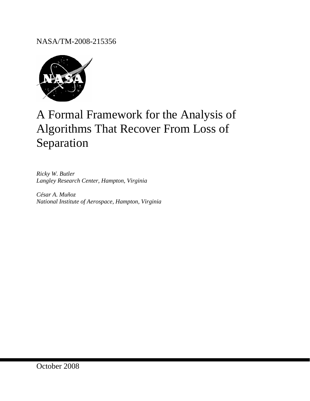NASA/TM-2008-215356



# A Formal Framework for the Analysis of Algorithms That Recover From Loss of Separation

*Ricky W. Butler Langley Research Center, Hampton, Virginia* 

*César A. Muñoz National Institute of Aerospace, Hampton, Virginia*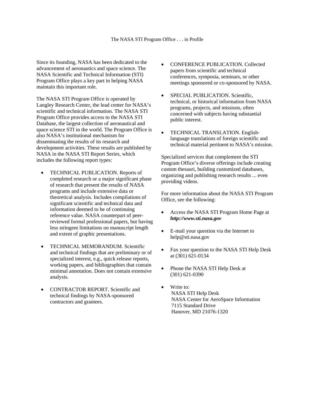Since its founding, NASA has been dedicated to the advancement of aeronautics and space science. The NASA Scientific and Technical Information (STI) Program Office plays a key part in helping NASA maintain this important role.

The NASA STI Program Office is operated by Langley Research Center, the lead center for NASA's scientific and technical information. The NASA STI Program Office provides access to the NASA STI Database, the largest collection of aeronautical and space science STI in the world. The Program Office is also NASA's institutional mechanism for disseminating the results of its research and development activities. These results are published by NASA in the NASA STI Report Series, which includes the following report types:

- TECHNICAL PUBLICATION. Reports of completed research or a major significant phase of research that present the results of NASA programs and include extensive data or theoretical analysis. Includes compilations of significant scientific and technical data and information deemed to be of continuing reference value. NASA counterpart of peerreviewed formal professional papers, but having less stringent limitations on manuscript length and extent of graphic presentations.
- TECHNICAL MEMORANDUM. Scientific and technical findings that are preliminary or of specialized interest, e.g., quick release reports, working papers, and bibliographies that contain minimal annotation. Does not contain extensive analysis.
- CONTRACTOR REPORT. Scientific and technical findings by NASA-sponsored contractors and grantees.
- CONFERENCE PUBLICATION. Collected papers from scientific and technical conferences, symposia, seminars, or other meetings sponsored or co-sponsored by NASA.
- SPECIAL PUBLICATION. Scientific. technical, or historical information from NASA programs, projects, and missions, often concerned with subjects having substantial public interest.
- TECHNICAL TRANSLATION. Englishlanguage translations of foreign scientific and technical material pertinent to NASA's mission.

Specialized services that complement the STI Program Office's diverse offerings include creating custom thesauri, building customized databases, organizing and publishing research results ... even providing videos.

For more information about the NASA STI Program Office, see the following:

- Access the NASA STI Program Home Page at *http://www.sti.nasa.gov*
- E-mail your question via the Internet to help@sti.nasa.gov
- Fax your question to the NASA STI Help Desk at (301) 621-0134
- Phone the NASA STI Help Desk at (301) 621-0390
- Write to: NASA STI Help Desk NASA Center for AeroSpace Information 7115 Standard Drive Hanover, MD 21076-1320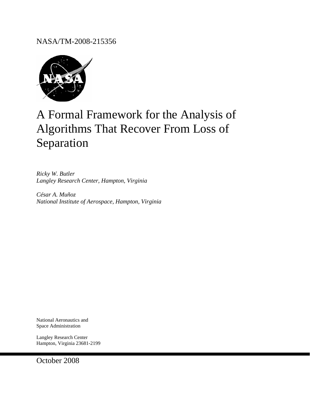NASA/TM-2008-215356



# A Formal Framework for the Analysis of Algorithms That Recover From Loss of Separation

*Ricky W. Butler Langley Research Center, Hampton, Virginia* 

*César A. Muñoz National Institute of Aerospace, Hampton, Virginia* 

National Aeronautics and Space Administration

Langley Research Center Hampton, Virginia 23681-2199

October 2008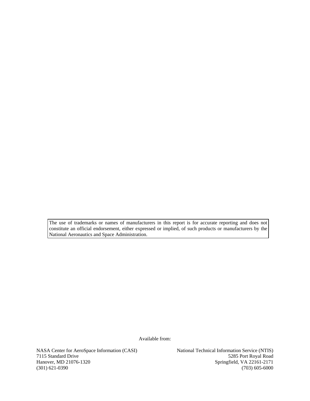The use of trademarks or names of manufacturers in this report is for accurate reporting and does not constitute an official endorsement, either expressed or implied, of such products or manufacturers by the National Aeronautics and Space Administration.

Available from:

NASA Center for AeroSpace Information (CASI) National Technical Information Service (NTIS) 7115 Standard Drive 5285 Port Royal Road Hanover, MD 21076-1320 Springfield, VA 22161-2171 (301) 621-0390 (703) 605-6000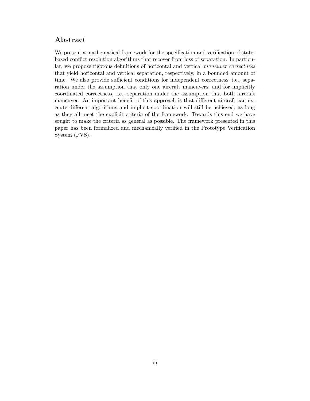## Abstract

We present a mathematical framework for the specification and verification of statebased conflict resolution algorithms that recover from loss of separation. In particular, we propose rigorous definitions of horizontal and vertical maneuver correctness that yield horizontal and vertical separation, respectively, in a bounded amount of time. We also provide sufficient conditions for independent correctness, i.e., separation under the assumption that only one aircraft maneuvers, and for implicitly coordinated correctness, i.e., separation under the assumption that both aircraft maneuver. An important benefit of this approach is that different aircraft can execute different algorithms and implicit coordination will still be achieved, as long as they all meet the explicit criteria of the framework. Towards this end we have sought to make the criteria as general as possible. The framework presented in this paper has been formalized and mechanically verified in the Prototype Verification System (PVS).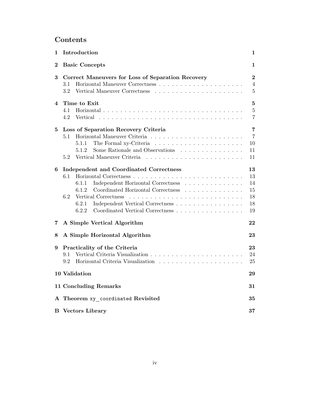# Contents

| 1                           | Introduction                                      | 1                   |  |  |  |  |  |  |
|-----------------------------|---------------------------------------------------|---------------------|--|--|--|--|--|--|
| $\bf{2}$                    | <b>Basic Concepts</b><br>1                        |                     |  |  |  |  |  |  |
| 3                           | Correct Maneuvers for Loss of Separation Recovery |                     |  |  |  |  |  |  |
|                             | 3.1<br>3.2                                        | 4<br>$\overline{5}$ |  |  |  |  |  |  |
| 4                           | Time to Exit                                      | $\overline{5}$      |  |  |  |  |  |  |
|                             | 4.1<br>4.2                                        | $\overline{5}$<br>7 |  |  |  |  |  |  |
| 5                           | Loss of Separation Recovery Criteria              | 7                   |  |  |  |  |  |  |
|                             | 5.1                                               | $\overline{7}$      |  |  |  |  |  |  |
|                             | 5.1.1                                             | 10                  |  |  |  |  |  |  |
|                             | Some Rationale and Observations<br>5.1.2          | 11                  |  |  |  |  |  |  |
|                             | 5.2                                               | 11                  |  |  |  |  |  |  |
| 6                           | <b>Independent and Coordinated Correctness</b>    | 13                  |  |  |  |  |  |  |
|                             | 6.1                                               | 13                  |  |  |  |  |  |  |
|                             | Independent Horizontal Correctness<br>6.1.1       | 14                  |  |  |  |  |  |  |
|                             | 6.1.2<br>Coordinated Horizontal Correctness<br>.  | 15                  |  |  |  |  |  |  |
|                             | 6.2<br>Vertical Correctness                       | 18                  |  |  |  |  |  |  |
|                             | Independent Vertical Correctness<br>6.2.1         | 18                  |  |  |  |  |  |  |
|                             | 6.2.2<br>Coordinated Vertical Correctness         | 19                  |  |  |  |  |  |  |
| 7                           | A Simple Vertical Algorithm<br>22                 |                     |  |  |  |  |  |  |
| 8                           | A Simple Horizontal Algorithm<br>23               |                     |  |  |  |  |  |  |
| 9                           | Practicality of the Criteria                      | 23                  |  |  |  |  |  |  |
|                             | 9.1                                               | 24                  |  |  |  |  |  |  |
|                             | 9.2                                               | 25                  |  |  |  |  |  |  |
|                             | 10 Validation                                     | 29                  |  |  |  |  |  |  |
| 11 Concluding Remarks<br>31 |                                                   |                     |  |  |  |  |  |  |
|                             | A Theorem xy_coordinated Revisited<br>35          |                     |  |  |  |  |  |  |
|                             | <b>B</b> Vectors Library<br>37                    |                     |  |  |  |  |  |  |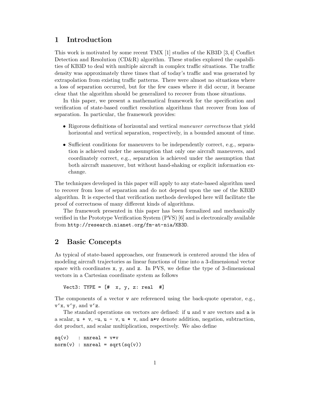## 1 Introduction

This work is motivated by some recent TMX [1] studies of the KB3D [3, 4] Conflict Detection and Resolution (CD&R) algorithm. These studies explored the capabilities of KB3D to deal with multiple aircraft in complex traffic situations. The traffic density was approximately three times that of today's traffic and was generated by extrapolation from existing traffic patterns. There were almost no situations where a loss of separation occurred, but for the few cases where it did occur, it became clear that the algorithm should be generalized to recover from those situations.

In this paper, we present a mathematical framework for the specification and verification of state-based conflict resolution algorithms that recover from loss of separation. In particular, the framework provides:

- Rigorous definitions of horizontal and vertical maneuver correctness that yield horizontal and vertical separation, respectively, in a bounded amount of time.
- Sufficient conditions for maneuvers to be independently correct, e.g., separation is achieved under the assumption that only one aircraft maneuvers, and coordinately correct, e.g., separation is achieved under the assumption that both aircraft maneuver, but without hand-shaking or explicit information exchange.

The techniques developed in this paper will apply to any state-based algorithm used to recover from loss of separation and do not depend upon the use of the KB3D algorithm. It is expected that verification methods developed here will facilitate the proof of correctness of many different kinds of algorithms.

The framework presented in this paper has been formalized and mechanically verified in the Prototype Verification System (PVS) [6] and is electronically available from http://research.nianet.org/fm-at-nia/KB3D.

## 2 Basic Concepts

As typical of state-based approaches, our framework is centered around the idea of modeling aircraft trajectories as linear functions of time into a 3-dimensional vector space with coordinates x, y, and z. In PVS, we define the type of 3-dimensional vectors in a Cartesian coordinate system as follows

Vect3: TYPE =  $[$ # x, y, z: real #]

The components of a vector v are referenced using the back-quote operator, e.g.,  $v'x, v'y, and v'z.$ 

The standard operations on vectors are defined: if u and v are vectors and a is a scalar,  $u + v$ ,  $-u$ ,  $u - v$ ,  $u * v$ , and  $a * v$  denote addition, negation, subtraction, dot product, and scalar multiplication, respectively. We also define

 $sq(v)$  : nnreal =  $v*v$  $norm(v)$  :  $nnreal = sqrt(sq(v))$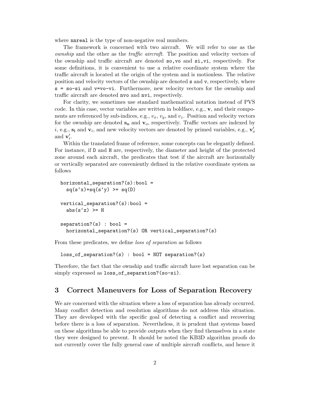where **nnreal** is the type of non-negative real numbers.

The framework is concerned with two aircraft. We will refer to one as the ownship and the other as the *traffic aircraft*. The position and velocity vectors of the ownship and traffic aircraft are denoted so,vo and si,vi, respectively. For some definitions, it is convenient to use a relative coordinate system where the traffic aircraft is located at the origin of the system and is motionless. The relative position and velocity vectors of the ownship are denoted s and v, respectively, where s = so-si and v=vo-vi. Furthermore, new velocity vectors for the ownship and traffic aircraft are denoted nvo and nvi, respectively.

For clarity, we sometimes use standard mathematical notation instead of PVS code. In this case, vector variables are written in boldface, e.g.,  $\bf{v}$ , and their components are referenced by sub-indices, e.g.,  $v_x$ ,  $v_y$ , and  $v_z$ . Position and velocity vectors for the ownship are denoted  $s_o$  and  $v_o$ , respectively. Traffic vectors are indexed by *i*, e.g.,  $s_i$  and  $v_i$ , and new velocity vectors are denoted by primed variables, e.g.,  $v'_o$ and  $\mathbf{v}'_i$ .

Within the translated frame of reference, some concepts can be elegantly defined. For instance, if D and H are, respectively, the diameter and height of the protected zone around each aircraft, the predicates that test if the aircraft are horizontally or vertically separated are conveniently defined in the relative coordinate system as follows

```
horizontal_separation?(s):bool =
  sq(s'x)+sq(s'y) \geq sq(D)vertical_separation?(s):bool =
  abs(s'z) >= H
separation?(s) : bool =
  horizontal_separation?(s) OR vertical_separation?(s)
```
From these predicates, we define *loss of separation* as follows

loss\_of\_separation?(s) : bool = NOT separation?(s)

Therefore, the fact that the ownship and traffic aircraft have lost separation can be simply expressed as loss\_of\_separation?(so-si).

## 3 Correct Maneuvers for Loss of Separation Recovery

We are concerned with the situation where a loss of separation has already occurred. Many conflict detection and resolution algorithms do not address this situation. They are developed with the specific goal of detecting a conflict and recovering before there is a loss of separation. Nevertheless, it is prudent that systems based on these algorithms be able to provide outputs when they find themselves in a state they were designed to prevent. It should be noted the KB3D algorithm proofs do not currently cover the fully general case of multiple aircraft conflicts, and hence it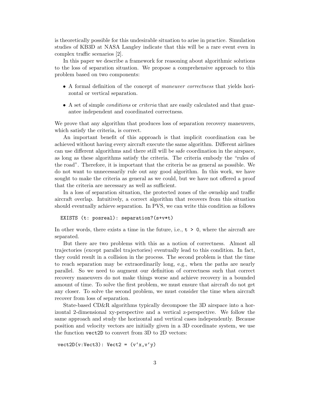is theoretically possible for this undesirable situation to arise in practice. Simulation studies of KB3D at NASA Langley indicate that this will be a rare event even in complex traffic scenarios [2].

In this paper we describe a framework for reasoning about algorithmic solutions to the loss of separation situation. We propose a comprehensive approach to this problem based on two components:

- A formal definition of the concept of maneuver correctness that yields horizontal or vertical separation.
- A set of simple *conditions* or *criteria* that are easily calculated and that guarantee independent and coordinated correctness.

We prove that any algorithm that produces loss of separation recovery maneuvers, which satisfy the criteria, is correct.

An important benefit of this approach is that implicit coordination can be achieved without having every aircraft execute the same algorithm. Different airlines can use different algorithms and there still will be safe coordination in the airspace, as long as these algorithms satisfy the criteria. The criteria embody the "rules of the road". Therefore, it is important that the criteria be as general as possible. We do not want to unnecessarily rule out any good algorithm. In this work, we have sought to make the criteria as general as we could, but we have not offered a proof that the criteria are necessary as well as sufficient.

In a loss of separation situation, the protected zones of the ownship and traffic aircraft overlap. Intuitively, a correct algorithm that recovers from this situation should eventually achieve separation. In PVS, we can write this condition as follows

EXISTS (t: posreal): separation?(s+v\*t)

In other words, there exists a time in the future, i.e.,  $t > 0$ , where the aircraft are separated.

But there are two problems with this as a notion of correctness. Almost all trajectories (except parallel trajectories) eventually lead to this condition. In fact, they could result in a collision in the process. The second problem is that the time to reach separation may be extraordinarily long, e.g., when the paths are nearly parallel. So we need to augment our definition of correctness such that correct recovery maneuvers do not make things worse and achieve recovery in a bounded amount of time. To solve the first problem, we must ensure that aircraft do not get any closer. To solve the second problem, we must consider the time when aircraft recover from loss of separation.

State-based CD&R algorithms typically decompose the 3D airspace into a horizontal 2-dimensional xy-perspective and a vertical z-perspective. We follow the same approach and study the horizontal and vertical cases independently. Because position and velocity vectors are initially given in a 3D coordinate system, we use the function vect2D to convert from 3D to 2D vectors:

 $vect2D(v:Vect3): Vect2 = (v'x,v'y)$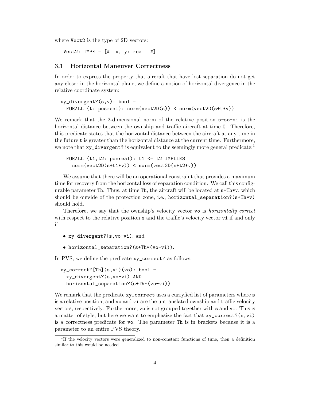where **Vect2** is the type of 2D vectors:

```
Vect2: TYPE = [# x, y: real #]
```
#### 3.1 Horizontal Maneuver Correctness

In order to express the property that aircraft that have lost separation do not get any closer in the horizontal plane, we define a notion of horizontal divergence in the relative coordinate system:

```
xy_divergent?(s, v): bool =
  FORALL (t: posreal): norm(vect2D(s)) < norm(vect2D(s+t*v))
```
We remark that the 2-dimensional norm of the relative position  $s=s\circ-si$  is the horizontal distance between the ownship and traffic aircraft at time 0. Therefore, this predicate states that the horizontal distance between the aircraft at any time in the future t is greater than the horizontal distance at the current time. Furthermore, we note that  $xy$ **divergent?** is equivalent to the seemingly more general predicate:<sup>1</sup>

```
FORALL (t1,t2: possreal): t1 \leq t2 IMPLIES
 norm(vect2D(s+t1*v)) < norm(vect2D(s+t2*v))
```
We assume that there will be an operational constraint that provides a maximum time for recovery from the horizontal loss of separation condition. We call this configurable parameter Th. Thus, at time Th, the aircraft will be located at s+Th\*v, which should be outside of the protection zone, i.e., horizontal\_separation?(s+Th\*v) should hold.

Therefore, we say that the ownship's velocity vector vo is horizontally correct with respect to the relative position **s** and the traffic's velocity vector **vi** if and only if

- xy\_divergent?(s,vo-vi), and
- horizontal\_separation?(s+Th\*(vo-vi)).

In PVS, we define the predicate xy\_correct? as follows:

```
xy\_correct? [Th](s, vi)(vo): bool =
  xy_divergent?(s,vo-vi) AND
  horizontal_separation?(s+Th*(vo-vi))
```
We remark that the predicate  $xy$  correct uses a curryfied list of parameters where s is a relative position, and vo and vi are the untranslated ownship and traffic velocity vectors, respectively. Furthermore, vo is not grouped together with s and vi. This is a matter of style, but here we want to emphasize the fact that  $xy\_correct$ ? $(s, vi)$ is a correctness predicate for vo. The parameter Th is in brackets because it is a parameter to an entire PVS theory.

<sup>1</sup> If the velocity vectors were generalized to non-constant functions of time, then a definition similar to this would be needed.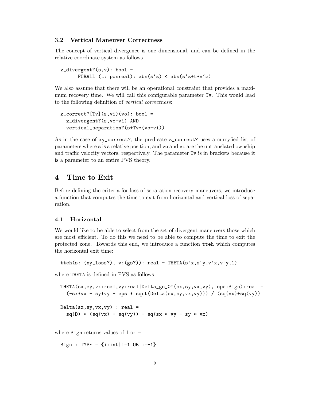#### 3.2 Vertical Maneuver Correctness

The concept of vertical divergence is one dimensional, and can be defined in the relative coordinate system as follows

 $z_divergent?$ (s,v): bool = FORALL (t: posreal):  $abs(s'z) < abs(s'z+tx'z)$ 

We also assume that there will be an operational constraint that provides a maximum recovery time. We will call this configurable parameter Tv. This would lead to the following definition of vertical correctness:

```
z_correct? [Tv](s,vi)(vo): bool =
  z_divergent?(s,vo-vi) AND
  vertical_separation?(s+Tv*(vo-vi))
```
As in the case of xy\_correct?, the predicate z\_correct? uses a curryfied list of parameters where s is a relative position, and vo and vi are the untranslated ownship and traffic velocity vectors, respectively. The parameter Tv is in brackets because it is a parameter to an entire PVS theory.

## 4 Time to Exit

Before defining the criteria for loss of separation recovery maneuvers, we introduce a function that computes the time to exit from horizontal and vertical loss of separation.

#### 4.1 Horizontal

We would like to be able to select from the set of divergent maneuvers those which are most efficient. To do this we need to be able to compute the time to exit the protected zone. Towards this end, we introduce a function tteh which computes the horizontal exit time:

```
tteh(s: (xy_loss?), v:(gs?)): real = THETA(s'x,s'y,v'x,v'y,1)
```
where THETA is defined in PVS as follows

```
THETA(sx,sy,vx:real,vy:real|Delta_ge_0?(sx,sy,vx,vy), eps:Sign):real =
  (-sx*vx - sy*vy +eps * sqrt(Delta(sx,sy,vx,vy))) / (sq(vx)+sq(vy))Delta(sx,sy,vx,vy) : real =
  sq(D) * (sq(vx) + sq(vy)) - sq(sx * vy - sy * vx)
```
where Sign returns values of 1 or  $-1$ :

```
Sign : TYPE = {i:int|i=1 \text{ OR } i=-1}
```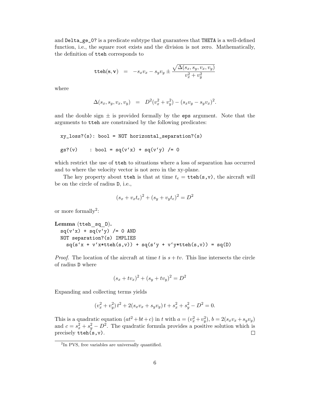and Delta\_ge\_0? is a predicate subtype that guarantees that THETA is a well-defined function, i.e., the square root exists and the division is not zero. Mathematically, the definition of tteh corresponds to

$$
\mathtt{tteh}(\mathbf{s},\mathbf{v})\;\;=\;\;-s_xv_x-s_yv_y\pm\frac{\sqrt{\Delta(s_x,s_y,v_x,v_y)}}{v_x^2+v_y^2}
$$

where

$$
\Delta(s_x, s_y, v_x, v_y) = D^2(v_x^2 + v_y^2) - (s_x v_y - s_y v_x)^2.
$$

and the double sign  $\pm$  is provided formally by the eps argument. Note that the arguments to tteh are constrained by the following predicates:

$$
xy_loss?(s)
$$
: bool = NOT horizontal-separation?(s)  
\n $gs?(v)$  : bool = sq(v'x) + sq(v'y) /= 0

which restrict the use of **tteh** to situations where a loss of separation has occurred and to where the velocity vector is not zero in the xy-plane.

The key property about tteh is that at time  $t_e = \text{tteh}(s,v)$ , the aircraft will be on the circle of radius D, i.e.,

$$
(s_x + v_x t_e)^2 + (s_y + v_y t_e)^2 = D^2
$$

or more formally<sup>2</sup>:

```
Lemma (tteh_sq_D).
  sq(v'x) + sq(v'y) /= 0 AND
 NOT separation?(s) IMPLIES
    sq(s'x + v'x*tteh(s,v)) + sq(s'y + v'y*tteh(s,v)) = sq(D)
```
*Proof.* The location of the aircraft at time t is  $s + tv$ . This line intersects the circle of radius D where

$$
(s_x + tv_x)^2 + (s_y + tv_y)^2 = D^2
$$

Expanding and collecting terms yields

$$
(v_x^2 + v_y^2) t^2 + 2(s_x v_x + s_y v_y) t + s_x^2 + s_y^2 - D^2 = 0.
$$

This is a quadratic equation  $(at^2 + bt + c)$  in t with  $a = (v_x^2 + v_y^2)$ ,  $b = 2(s_xv_x + s_yv_y)$ and  $c = s_x^2 + s_y^2 - D^2$ . The quadratic formula provides a positive solution which is precisely tteh(s,v).  $\Box$ 

<sup>&</sup>lt;sup>2</sup>In PVS, free variables are universally quantified.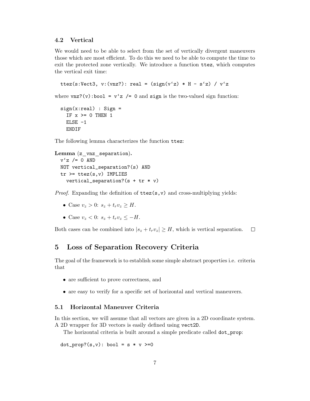#### 4.2 Vertical

We would need to be able to select from the set of vertically divergent maneuvers those which are most efficient. To do this we need to be able to compute the time to exit the protected zone vertically. We introduce a function ttez, which computes the vertical exit time:

```
ttez(s:Vect3, v:(vnz?): real = (sign(v'z) * H - s'z) / v'z
```
where  $\texttt{vnz?}(v): \text{bool} = v'z$  /= 0 and sign is the two-valued sign function:

 $sign(x:real)$  : Sign = IF  $x \ge 0$  THEN 1  $ELSE -1$ ENDIF

The following lemma characterizes the function ttez:

```
Lemma (z vnz separation).
  v'z /= 0 AND
  NOT vertical_separation?(s) AND
  tr >= ttez(s, v) IMPLIES
    vertical_separation?(s + tr * v)
```
*Proof.* Expanding the definition of  $\text{ttez}(s,v)$  and cross-multiplying yields:

- Case  $v_z > 0$ :  $s_z + t_r v_z \geq H$ .
- Case  $v_z < 0$ :  $s_z + t_r v_z \leq -H$ .

Both cases can be combined into  $|s_z + t_r v_z| \geq H$ , which is vertical separation.  $\Box$ 

### 5 Loss of Separation Recovery Criteria

The goal of the framework is to establish some simple abstract properties i.e. criteria that

- are sufficient to prove correctness, and
- are easy to verify for a specific set of horizontal and vertical maneuvers.

#### 5.1 Horizontal Maneuver Criteria

In this section, we will assume that all vectors are given in a 2D coordinate system. A 2D wrapper for 3D vectors is easily defined using vect2D.

The horizontal criteria is built around a simple predicate called dot\_prop:

 $dot\_prop?(s,v):$  bool = s \* v >=0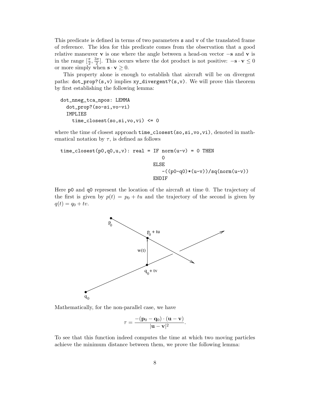This predicate is defined in terms of two parameters s and v of the translated frame of reference. The idea for this predicate comes from the observation that a good relative maneuver v is one where the angle between a head-on vector  $-\mathbf{s}$  and v is in the range  $\left[\frac{\pi}{2}, \frac{3\pi}{2}\right]$  $\frac{2\pi}{2}$ . This occurs where the dot product is not positive:  $-\mathbf{s} \cdot \mathbf{v} \leq 0$ or more simply when  $\mathbf{s} \cdot \mathbf{v} \geq 0$ .

This property alone is enough to establish that aircraft will be on divergent paths:  $dot_p$ ?(s,v) implies xy\_divergent?(s,v). We will prove this theorem by first establishing the following lemma:

```
dot_nneg_tca_npos: LEMMA
  dot_prop?(so-si,vo-vi)
  IMPLIES
    time_closest(so,si,vo,vi) <= 0
```
where the time of closest approach  $time\_closest(\text{so,si},\text{vo,vi})$ , denoted in mathematical notation by  $\tau$ , is defined as follows

time\_closest(p0,q0,u,v): real = IF norm(u-v) = 0 THEN 0 ELSE -((p0-q0)\*(u-v))/sq(norm(u-v)) ENDIF

Here p0 and q0 represent the location of the aircraft at time 0. The trajectory of the first is given by  $p(t) = p_0 + tu$  and the trajectory of the second is given by  $q(t) = q_0 + tv.$ 



Mathematically, for the non-parallel case, we have

$$
\tau = \frac{-(\mathbf{p}_0 - \mathbf{q}_0) \cdot (\mathbf{u} - \mathbf{v})}{|\mathbf{u} - \mathbf{v}|^2}.
$$

To see that this function indeed computes the time at which two moving particles achieve the minimum distance between them, we prove the following lemma: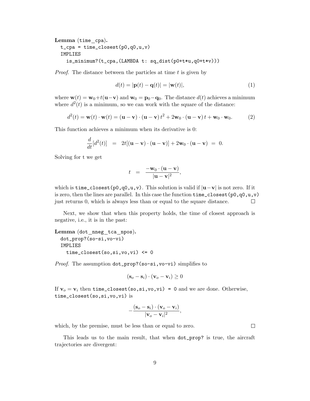Lemma (time\_cpa).

```
t_cpa = time_closest(p0, q0, u, v)IMPLIES
  is_minimum?(t_cpa,(LAMBDA t: sq_dist(p0+t*u,q0+t*v)))
```
*Proof.* The distance between the particles at time  $t$  is given by

$$
d(t) = |\mathbf{p}(t) - \mathbf{q}(t)| = |\mathbf{w}(t)|,\tag{1}
$$

where  $\mathbf{w}(t) = \mathbf{w}_0 + t(\mathbf{u}-\mathbf{v})$  and  $\mathbf{w}_0 = \mathbf{p}_0 - \mathbf{q}_0$ . The distance  $d(t)$  achieves a minimum where  $d^2(t)$  is a minimum, so we can work with the square of the distance:

$$
d^{2}(t) = \mathbf{w}(t) \cdot \mathbf{w}(t) = (\mathbf{u} - \mathbf{v}) \cdot (\mathbf{u} - \mathbf{v}) t^{2} + 2\mathbf{w}_{0} \cdot (\mathbf{u} - \mathbf{v}) t + \mathbf{w}_{0} \cdot \mathbf{w}_{0}. \qquad (2)
$$

This function achieves a minimum when its derivative is 0:

$$
\frac{d}{dt}[d^2(t)] = 2t[(\mathbf{u}-\mathbf{v})\cdot(\mathbf{u}-\mathbf{v})] + 2\mathbf{w}_0\cdot(\mathbf{u}-\mathbf{v}) = 0.
$$

Solving for t we get

$$
t = \frac{-\mathbf{w}_0 \cdot (\mathbf{u} - \mathbf{v})}{|\mathbf{u} - \mathbf{v}|^2},
$$

which is time\_closest(p0,q0,u,v). This solution is valid if  $|u-v|$  is not zero. If it is zero, then the lines are parallel. In this case the function  $\tt time\_closest(p0,q0,u,v)$ just returns 0, which is always less than or equal to the square distance.  $\Box$ 

Next, we show that when this property holds, the time of closest approach is negative, i.e., it is in the past:

```
Lemma (dot nneg tca npos).
  dot_prop?(so-si,vo-vi)
  IMPLIES
    time\_closest(so,si,vo,vi) \leq 0
```
Proof. The assumption dot\_prop?(so-si,vo-vi) simplifies to

$$
(\mathbf{s}_o - \mathbf{s}_i) \cdot (\mathbf{v}_o - \mathbf{v}_i) \ge 0
$$

If  $v_o = v_i$  then time\_closest(so,si,vo,vi) = 0 and we are done. Otherwise, time\_closest(so,si,vo,vi) is

$$
-\frac{(\mathbf{s}_o-\mathbf{s}_i)\cdot(\mathbf{v}_o-\mathbf{v}_i)}{|\mathbf{v}_o-\mathbf{v}_i|^2},
$$

which, by the premise, must be less than or equal to zero.

 $\Box$ 

This leads us to the main result, that when dot\_prop? is true, the aircraft trajectories are divergent: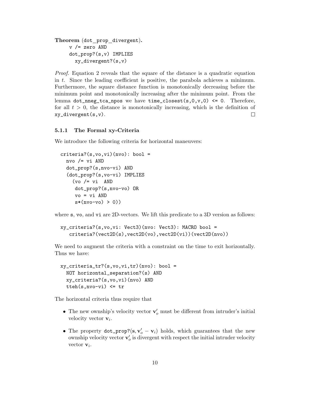```
Theorem (dot_prop_divergent).
    v /= zero AND
    dot_prop?(s,v) IMPLIES
      xy_divergent?(s,v)
```
Proof. Equation 2 reveals that the square of the distance is a quadratic equation in t. Since the leading coefficient is positive, the parabola achieves a minimum. Furthermore, the square distance function is monotonically decreasing before the minimum point and monotonically increasing after the minimum point. From the lemma dot\_nneg\_tca\_npos we have time\_closest( $s,0,v,0$ ) <= 0. Therefore, for all  $t > 0$ , the distance is monotonically increasing, which is the definition of xy\_divergent(s,v).  $\Box$ 

#### 5.1.1 The Formal xy-Criteria

We introduce the following criteria for horizontal maneuvers:

```
criterion?(s,vo,vi)(nvo): bool =nvo /= vi AND
  dot_prop?(s,nvo-vi) AND
  (dot_prop?(s,vo-vi) IMPLIES
    (vo /= vi AND
     dot_prop?(s,nvo-vo) OR
     vo = vi AND
     s*(nvo-vo) > 0)
```
where **s**, vo, and vi are 2D-vectors. We lift this predicate to a 3D version as follows:

```
xy_criteria?(s,vo,vi: Vect3)(nvo: Vect3): MACRO bool =
   criteria?(vect2D(s),vect2D(vo),vect2D(vi))(vect2D(nvo))
```
We need to augment the criteria with a constraint on the time to exit horizontally. Thus we have:

```
xy_criteria_tr?(s,vo,vi,tr)(nvo): bool =
  NOT horizontal_separation?(s) AND
  xy_criteria?(s,vo,vi)(nvo) AND
  tteh(s,nvo-vi) <= tr
```
The horizontal criteria thus require that

- $\bullet\,$  The new ownship's velocity vector  ${\bf v}_o^\prime$  must be different from intruder's initial velocity vector  $\mathbf{v}_i$ .
- The property  $dot\_prop?(s, v'_o v_i)$  holds, which guarantees that the new ownship velocity vector  $\mathbf{v}'_o$  is divergent with respect the initial intruder velocity vector  $\mathbf{v}_i$ .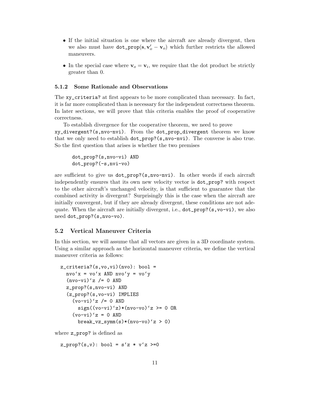- If the initial situation is one where the aircraft are already divergent, then we also must have  $dot\_prop(s, v'_o - v_o)$  which further restricts the allowed maneuvers.
- In the special case where  $\mathbf{v}_o = \mathbf{v}_i$ , we require that the dot product be strictly greater than 0.

#### 5.1.2 Some Rationale and Observations

The xy\_criteria? at first appears to be more complicated than necessary. In fact, it is far more complicated than is necessary for the independent correctness theorem. In later sections, we will prove that this criteria enables the proof of cooperative correctness.

To establish divergence for the cooperative theorem, we need to prove xy\_divergent?(s,nvo-nvi). From the dot\_prop\_divergent theorem we know that we only need to establish dot\_prop?(s,nvo-nvi). The converse is also true. So the first question that arises is whether the two premises

```
dot_prop?(s,nvo-vi) AND
dot_prop?(-s,nvi-vo)
```
are sufficient to give us dot\_prop?(s,nvo-nvi). In other words if each aircraft independently ensures that its own new velocity vector is dot\_prop? with respect to the other aircraft's unchanged velocity, is that sufficient to guarantee that the combined activity is divergent? Surprisingly this is the case when the aircraft are initially convergent, but if they are already divergent, these conditions are not adequate. When the aircraft are initially divergent, i.e.,  $dot\_prop$ ?( $s,vo-vi$ ), we also need dot\_prop?(s,nvo-vo).

#### 5.2 Vertical Maneuver Criteria

In this section, we will assume that all vectors are given in a 3D coordinate system. Using a similar approach as the horizontal maneuver criteria, we define the vertical maneuver criteria as follows:

```
z_criteria?(s,vo,vi)(nvo): bool =
  nvo'x = vo'x AND nvo'y = vo'y
  (nvo-vi)'z /= 0 AND
  z_prop?(s,nvo-vi) AND
  (z_prop?(s,vo-vi) IMPLIES
    (vo-vi)'z /= 0 AND
      sign((vo-vi)'z)*(nvo-vo)'z >= 0 OR
    (vo-vi)'z = 0 AND
      break_vz_symm(s)*(nvo-vo)'z > 0)
```
where z\_prop? is defined as

 $z\_prop?(s,v):$  bool =  $s'z * v'z >=0$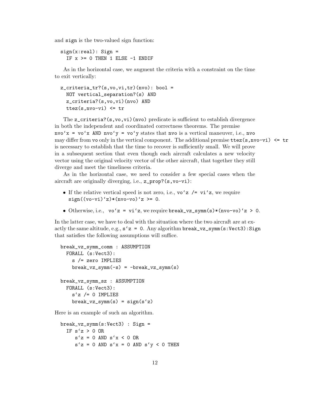and sign is the two-valued sign function:

 $sign(x:real):$  Sign = IF  $x$  >= 0 THEN 1 ELSE -1 ENDIF

As in the horizontal case, we augment the criteria with a constraint on the time to exit vertically:

```
z_ccriteria_tr?(s,vo,vi,tr)(nvo): bool =
  NOT vertical_separation?(s) AND
  z_criteria?(s,vo,vi)(nvo) AND
  ttez(s,nvo-vi) <= tr
```
The z\_criteria?(s,vo,vi)(nvo) predicate is sufficient to establish divergence in both the independent and coordinated correctness theorems. The premise nvo'x = vo'x AND nvo'y = vo'y states that nvo is a vertical maneuver, i.e., nvo may differ from vo only in the vertical component. The additional premise  $\texttt{ttez}(s, nvo-vi) \leq tr$ is necessary to establish that the time to recover is sufficiently small. We will prove in a subsequent section that even though each aircraft calculates a new velocity vector using the original velocity vector of the other aircraft, that together they still diverge and meet the timeliness criteria.

As in the horizontal case, we need to consider a few special cases when the aircraft are originally diverging, i.e., z\_prop?(s,vo-vi):

- If the relative vertical speed is not zero, i.e.,  $\mathbf{v} \circ \mathbf{z}$  /=  $\mathbf{vi} \circ \mathbf{z}$ , we require  $sign((vo-vi)'z)*(nvo-vo)'z \ge 0.$
- Otherwise, i.e.,  $\text{vo}'z = \text{vi}'z$ , we require  $\text{break_vz} = \text{symm}(s) * (\text{nvo-vo})'z > 0$ .

In the latter case, we have to deal with the situation where the two aircraft are at exactly the same altitude, e.g.,  $s'z = 0$ . Any algorithm break\_vz\_symm(s:Vect3): Sign that satisfies the following assumptions will suffice.

```
break_vz_symm_comm : ASSUMPTION
  FORALL (s:Vect3):
    s /= zero IMPLIES
    break_vz \text{symm}(-s) = -break_vz \text{symm}(s)break_vz_symm_sz : ASSUMPTION
  FORALL (s:Vect3):
    s'z /= 0 IMPLIES
    break_vz \text{symm}(s) = sign(s'z)
```
Here is an example of such an algorithm.

```
break_vz_symm(s:Vect3) : Sign =
  IF s'z > 0 OR
     s'z = 0 AND s'x < 0 OR
     s'z = 0 AND s'x = 0 AND s'y < 0 THEN
```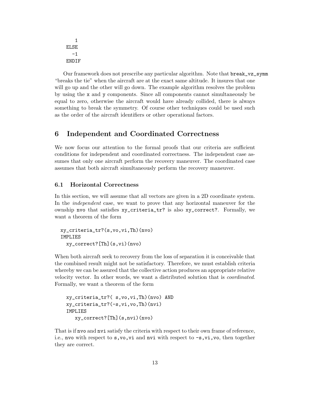1 ELSE -1 ENDIF

Our framework does not prescribe any particular algorithm. Note that break\_vz\_symm "breaks the tie" when the aircraft are at the exact same altitude. It insures that one will go up and the other will go down. The example algorithm resolves the problem by using the x and y components. Since all components cannot simultaneously be equal to zero, otherwise the aircraft would have already collided, there is always something to break the symmetry. Of course other techniques could be used such as the order of the aircraft identifiers or other operational factors.

## 6 Independent and Coordinated Correctness

We now focus our attention to the formal proofs that our criteria are sufficient conditions for independent and coordinated correctness. The independent case assumes that only one aircraft perform the recovery maneuver. The coordinated case assumes that both aircraft simultaneously perform the recovery maneuver.

#### 6.1 Horizontal Correctness

In this section, we will assume that all vectors are given in a 2D coordinate system. In the independent case, we want to prove that any horizontal maneuver for the ownship nvo that satisfies xy\_criteria\_tr? is also xy\_correct?. Formally, we want a theorem of the form

```
xy_criteria_tr?(s,vo,vi,Th)(nvo)
IMPLIES
  xy_correct?[Th](s,vi)(nvo)
```
When both aircraft seek to recovery from the loss of separation it is conceivable that the combined result might not be satisfactory. Therefore, we must establish criteria whereby we can be assured that the collective action produces an appropriate relative velocity vector. In other words, we want a distributed solution that is coordinated. Formally, we want a theorem of the form

```
xy_criteria_tr?( s,vo,vi,Th)(nvo) AND
xy_criteria_tr?(-s,vi,vo,Th)(nvi)
IMPLIES
  xy_correct?[Th](s,nvi)(nvo)
```
That is if nvo and nvi satisfy the criteria with respect to their own frame of reference, i.e., nvo with respect to  $s$ , vo, vi and nvi with respect to  $-s$ , vi, vo, then together they are correct.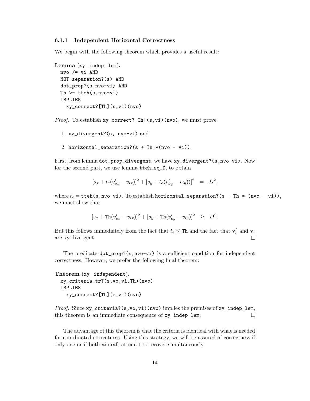#### 6.1.1 Independent Horizontal Correctness

We begin with the following theorem which provides a useful result:

```
Lemma (xy indep lem).
  nvo /= vi AND
  NOT separation?(s) AND
  dot_prop?(s,nvo-vi) AND
  Th >= tteh(s, nvo-vi)IMPLIES
    xy_correct?[Th](s,vi)(nvo)
```
*Proof.* To establish  $xy\_{correct}$ ? [Th](s, vi)(nvo), we must prove

- 1. xy\_divergent?(s, nvo-vi) and
- 2. horizontal\_separation?( $s + Th * (nvo vi)$ ).

First, from lemma dot\_prop\_divergent, we have xy\_divergent?(s,nvo-vi). Now for the second part, we use lemma tteh\_sq\_D, to obtain

$$
[s_x + t_e(v'_{ox} - v_{ix})]^2 + [s_y + t_e(v'_{oy} - v_{iy}))]^2 = D^2,
$$

where  $t_e = \text{tteh}(s, nvo-vi)$ . To establish horizontal\_separation?(s + Th \* (nvo - vi)), we must show that

$$
[s_x + \text{Th}(v'_{ox} - v_{ix})]^2 + [s_y + \text{Th}(v'_{oy} - v_{iy})]^2 \geq D^2.
$$

But this follows immediately from the fact that  $t_e \leq$  Th and the fact that  $\mathbf{v}'_o$  and  $\mathbf{v}_i$ are xy-divergent. П

The predicate  $dot_{\text{prop}}(s, nvo-vi)$  is a sufficient condition for independent correctness. However, we prefer the following final theorem:

```
Theorem (xy independent).
 xy_criteria_tr?(s,vo,vi,Th)(nvo)
 IMPLIES
   xy_correct?[Th](s,vi)(nvo)
```
*Proof.* Since  $xy\_criterion$ ?(s, vo, vi)(nvo) implies the premises of  $xy\_indep\_lem$ , this theorem is an immediate consequence of xy\_indep\_lem.  $\Box$ 

The advantage of this theorem is that the criteria is identical with what is needed for coordinated correctness. Using this strategy, we will be assured of correctness if only one or if both aircraft attempt to recover simultaneously.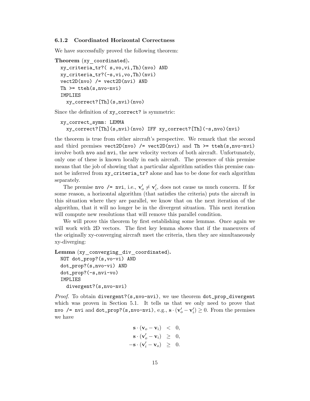#### 6.1.2 Coordinated Horizontal Correctness

We have successfully proved the following theorem:

```
Theorem (xy_coordinated).
 xy_criteria_tr?( s,vo,vi,Th)(nvo) AND
 xy_criteria_tr?(-s,vi,vo,Th)(nvi)
 vect2D(nvo) /= vect2D(nvi) AND
 Th >= tteh(s, nvo-nvi)IMPLIES
    xy_correct?[Th](s,nvi)(nvo)
```
Since the definition of xy\_correct? is symmetric:

```
xy_correct_symm: LEMMA
  xy_correct?[Th](s,nvi)(nvo) IFF xy_correct?[Th](-s,nvo)(nvi)
```
the theorem is true from either aircraft's perspective. We remark that the second and third premises  $vect2D(nvo)$  /=  $vect2D(nvi)$  and Th >= tteh(s,nvo-nvi) involve both nvo and nvi, the new velocity vectors of both aircraft. Unfortunately, only one of these is known locally in each aircraft. The presence of this premise means that the job of showing that a particular algorithm satisfies this premise cannot be inferred from  $xy$ <sup>-</sup>criteria<sub>tr?</sub> alone and has to be done for each algorithm separately.

The premise nvo /= nvi, i.e.,  $\mathbf{v}'_o \neq \mathbf{v}'_i$ , does not cause us much concern. If for some reason, a horizontal algorithm (that satisfies the criteria) puts the aircraft in this situation where they are parallel, we know that on the next iteration of the algorithm, that it will no longer be in the divergent situation. This next iteration will compute new resolutions that will remove this parallel condition.

We will prove this theorem by first establishing some lemmas. Once again we will work with 2D vectors. The first key lemma shows that if the maneuvers of the originally xy-converging aircraft meet the criteria, then they are simultaneously xy-diverging:

```
Lemma (xy converging div coordinated).
  NOT dot_prop?(s,vo-vi) AND
  dot_prop?(s,nvo-vi) AND
  dot_prop?(-s,nvi-vo)
  IMPLIES
    divergent?(s,nvo-nvi)
```
*Proof.* To obtain divergent?(s,nvo-nvi), we use theorem  $dot$ -prop\_divergent which was proven in Section 5.1. It tells us that we only need to prove that nvo /= nvi and dot\_prop?(s,nvo-nvi), e.g.,  $\mathbf{s} \cdot (\mathbf{v}_o' - \mathbf{v}_i') \ge 0$ . From the premises we have

$$
\begin{array}{rcl}\n\mathbf{s} \cdot (\mathbf{v}_o - \mathbf{v}_i) & < & 0, \\
\mathbf{s} \cdot (\mathbf{v}'_o - \mathbf{v}_i) & \geq & 0, \\
-\mathbf{s} \cdot (\mathbf{v}'_i - \mathbf{v}_o) & \geq & 0.\n\end{array}
$$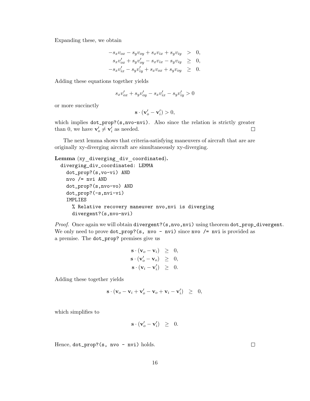Expanding these, we obtain

$$
-s_xv_{ox} - s_yv_{oy} + s_xv_{ix} + s_yv_{iy} > 0,
$$
  
\n
$$
s_xv'_{ox} + s_yv'_{oy} - s_xv_{ix} - s_yv_{iy} \ge 0,
$$
  
\n
$$
-s_xv'_{ix} - s_yv'_{iy} + s_xv_{ox} + s_yv_{oy} \ge 0.
$$

Adding these equations together yields

$$
s_xv_{ox}'+s_yv_{oy}'-s_xv_{ix}'-s_yv_{iy}'>0
$$

or more succinctly

$$
\mathbf{s} \cdot (\mathbf{v}_o' - \mathbf{v}_i') > 0,
$$

which implies  $dot\_prop?(s,nvo-nvi)$ . Also since the relation is strictly greater than 0, we have  $\mathbf{v}'_o \neq \mathbf{v}'_i$  as needed.  $\Box$ 

The next lemma shows that criteria-satisfying maneuvers of aircraft that are are originally xy-diverging aircraft are simultaneously xy-diverging.

```
Lemma (xy diverging div coordinated).
 diverging_div_coordinated: LEMMA
```

```
dot_prop?(s,vo-vi) AND
nvo /= nvi AND
dot_prop?(s,nvo-vo) AND
dot_prop?(-s,nvi-vi)
IMPLIES
  % Relative recovery maneuver nvo,nvi is diverging
  divergent?(s,nvo-nvi)
```
Proof. Once again we will obtain divergent? (s,nvo,nvi) using theorem dot\_prop\_divergent. We only need to prove  $dot\_prop$ ?(s, nvo - nvi) since nvo  $/$ = nvi is provided as a premise. The dot\_prop? premises give us

$$
\begin{array}{rcl} \mathbf{s} \cdot (\mathbf{v}_o - \mathbf{v}_i) & \geq & 0, \\ \mathbf{s} \cdot (\mathbf{v}'_o - \mathbf{v}_o) & \geq & 0, \\ \mathbf{s} \cdot (\mathbf{v}_i - \mathbf{v}'_i) & \geq & 0. \end{array}
$$

Adding these together yields

$$
\mathbf{s} \cdot (\mathbf{v}_o - \mathbf{v}_i + \mathbf{v}'_o - \mathbf{v}_o + \mathbf{v}_i - \mathbf{v}'_i) \geq 0,
$$

which simplifies to

$$
\mathbf{s} \cdot (\mathbf{v}'_o - \mathbf{v}'_i) \geq 0.
$$

Hence, dot\_prop?(s, nvo - nvi) holds.

 $\Box$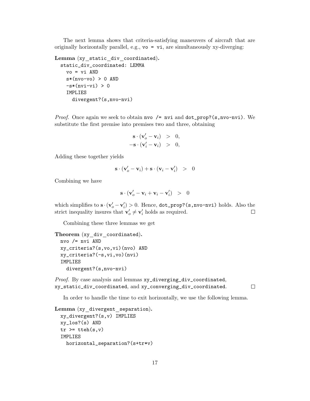The next lemma shows that criteria-satisfying maneuvers of aircraft that are originally horizontally parallel, e.g.,  $\mathbf{vo} = \mathbf{vi}$ , are simultaneously xy-diverging:

## Lemma (xy static div coordinated).

```
static_div_coordinated: LEMMA
  vo = vi AND
  s*(nvo-vo) > 0 AND
  -s*(nvi-vi) > 0IMPLIES
    divergent?(s,nvo-nvi)
```
*Proof.* Once again we seek to obtain nvo  $/=$  nvi and dot\_prop?(s,nvo-nvi). We substitute the first premise into premises two and three, obtaining

$$
\begin{array}{rcl} \mathbf{s} \cdot (\mathbf{v}'_o - \mathbf{v}_i) > & 0, \\ -\mathbf{s} \cdot (\mathbf{v}'_i - \mathbf{v}_i) > & 0, \end{array}
$$

Adding these together yields

$$
\mathbf{s} \cdot (\mathbf{v}'_o - \mathbf{v}_i) + \mathbf{s} \cdot (\mathbf{v}_i - \mathbf{v}'_i) > 0
$$

Combining we have

$$
\mathbf{s} \cdot (\mathbf{v}_o' - \mathbf{v}_i + \mathbf{v}_i - \mathbf{v}_i') > 0
$$

which simplifies to  $\mathbf{s} \cdot (\mathbf{v}_o' - \mathbf{v}_i') > 0$ . Hence,  $\texttt{dot\_prop?(s, nvo-nvi})$  holds. Also the strict inequality insures that  $\mathbf{v}'_o \neq \mathbf{v}'_i$  holds as required.  $\Box$ 

Combining these three lemmas we get

```
Theorem (xy_div_coordinated).
 nvo /= nvi AND
 xy_criteria?(s,vo,vi)(nvo) AND
 xy_criteria?(-s,vi,vo)(nvi)
 IMPLIES
   divergent?(s,nvo-nvi)
```

```
Proof. By case analysis and lemmas xy_diverging_div_coordinated,
xy_static_div_coordinated, and xy_converging_div_coordinated.
```
 $\Box$ 

In order to handle the time to exit horizontally, we use the following lemma.

```
Lemma (xy_divergent_separation).
 xy_divergent?(s,v) IMPLIES
 xy_los?(s) AND
 tr >= tteh(s,v)IMPLIES
   horizontal_separation?(s+tr*v)
```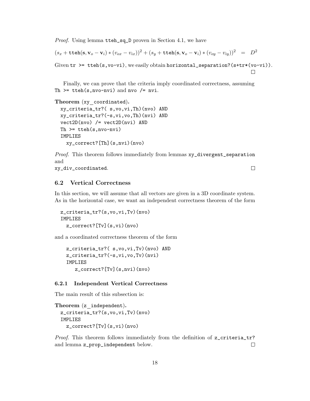*Proof.* Using lemma tteh\_sq\_D proven in Section 4.1, we have

$$
(s_x + \mathtt{tteh}(s, \mathbf{v}_o - \mathbf{v}_i) * (v_{ox} - v_{ix}))^2 + (s_y + \mathtt{tteh}(s, \mathbf{v}_o - \mathbf{v}_i) * (v_{oy} - v_{iy}))^2 = D^2
$$

Given  $tr \geq \text{tteh}(s, v_0 - v_i)$ , we easily obtain horizontal\_separation?  $(s + tr*(v_0 - v_i))$ .  $\Box$ 

Finally, we can prove that the criteria imply coordinated correctness, assuming Th  $>=$  tteh(s, nvo-nvi) and nvo  $/=$  nvi.

```
Theorem (xy_coordinated).
  xy_criteria_tr?( s,vo,vi,Th)(nvo) AND
  xy_criteria_tr?(-s,vi,vo,Th)(nvi) AND
  vect2D(nvo) /= vect2D(nvi) AND
  Th >= tteh(s, nvo-nvi)IMPLIES
    xy_correct?[Th](s,nvi)(nvo)
```
Proof. This theorem follows immediately from lemmas xy\_divergent\_separation and

xy\_div\_coordinated.

 $\Box$ 

#### 6.2 Vertical Correctness

In this section, we will assume that all vectors are given in a 3D coordinate system. As in the horizontal case, we want an independent correctness theorem of the form

```
z_criteria_tr?(s,vo,vi,Tv)(nvo)
IMPLIES
  z_correct?[Tv](s,vi)(nvo)
```
and a coordinated correctness theorem of the form

z\_criteria\_tr?( s,vo,vi,Tv)(nvo) AND z\_criteria\_tr?(-s,vi,vo,Tv)(nvi) IMPLIES z\_correct?[Tv](s,nvi)(nvo)

#### 6.2.1 Independent Vertical Correctness

The main result of this subsection is:

```
Theorem (z_independent).
  z_criteria_tr?(s,vo,vi,Tv)(nvo)
  IMPLIES
    z_correct?[Tv](s,vi)(nvo)
```
Proof. This theorem follows immediately from the definition of z\_criteria\_tr? and lemma z\_prop\_independent below.  $\Box$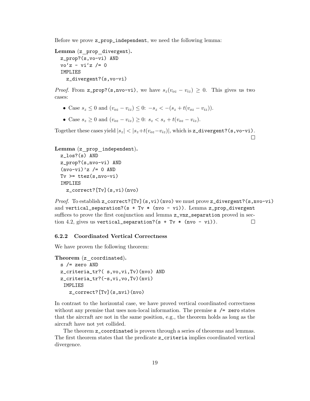Before we prove z\_prop\_independent, we need the following lemma:

```
Lemma (z prop divergent).
  z_prop?(s,vo-vi) AND
  vo'z - vi'z /= 0
  IMPLIES
    z_divergent?(s,vo-vi)
```
*Proof.* From z\_prop?(s,nvo-vi), we have  $s_z(v_{oz} - v_{iz}) \geq 0$ . This gives us two cases:

- Case  $s_z \leq 0$  and  $(v_{oz} v_{iz}) \leq 0$ :  $-s_z < -(s_z + t(v_{oz} v_{iz}))$ .
- Case  $s_z \geq 0$  and  $(v_{oz} v_{iz}) \geq 0$ :  $s_z < s_z + t(v_{oz} v_{iz})$ .

Together these cases yield  $|s_z| < |s_z+t(v_{oz}-v_{iz})|$ , which is z\_divergent?(s,vo-vi).  $\Box$ 

#### Lemma (z\_prop\_independent).

```
z_los?(s) AND
z_prop?(s,nvo-vi) AND
(nvo-vi)'z /= 0 AND
Tv >= ttez(s, nvo-vi)
IMPLIES
  z_correct?[Tv](s,vi)(nvo)
```
Proof. To establish z\_correct?[Tv](s,vi)(nvo) we must prove z\_divergent?(s,nvo-vi) and vertical\_separation?( $s + Tv * (nvo - vi)$ ). Lemma z\_prop\_divergent suffices to prove the first conjunction and lemma z\_vnz\_separation proved in section 4.2, gives us vertical\_separation?( $s + Tv * (nvo - vi)$ ).  $\Box$ 

#### 6.2.2 Coordinated Vertical Correctness

We have proven the following theorem:

```
Theorem (z_coordinated).
 s /= zero AND
 z_criteria_tr?( s,vo,vi,Tv)(nvo) AND
 z_criteria_tr?(-s,vi,vo,Tv)(nvi)
  IMPLIES
     z_correct?[Tv](s,nvi)(nvo)
```
In contrast to the horizontal case, we have proved vertical coordinated correctness without any premise that uses non-local information. The premise  $s$  /= zero states that the aircraft are not in the same position, e.g., the theorem holds as long as the aircraft have not yet collided.

The theorem z\_coordinated is proven through a series of theorems and lemmas. The first theorem states that the predicate z\_criteria implies coordinated vertical divergence.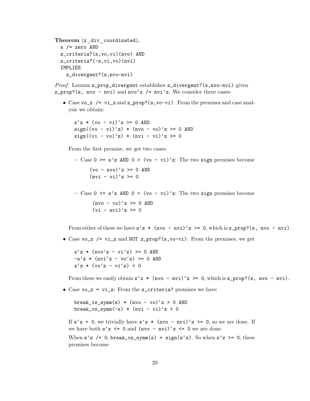```
Theorem (z_i div coordinated).
  s /= zero AND
  z_criteria?(s,vo,vi)(nvo) AND
  z_criteria?(-s,vi,vo)(nvi)
  IMPLIES
    z_divergent?(s,nvo-nvi)
```
*Proof.* Lemma  $z$ \_prop\_divergent establishes  $z$ \_divergent?(s,nvo-nvi) given z\_prop?(s, nvo - nvi) and nvo'z /= nvi'z. We consider three cases:

• Case vo\_z /= vi\_z and z\_prop?(s,vo-vi): From the premises and case analysis we obtain:

 $s'z * (vo - vi)'z > = 0$  AND  $sign((vo - vi)'z) * (nvo - vo)'z \ge 0$  AND  $sign((vi - vo)'z) * (nvi - vi)'z > = 0$ 

From the first premise, we get two cases:

 $-$  Case 0 >= s'z AND 0 > (vo - vi)'z: The two sign premises become  $(vo - nvo)'z \ge 0$  AND  $(nvi - vi)'z \ge 0$ 

– Case  $0 \leq s \leq AND \ 0 \leq (vo - vi)'z$ : The two sign premises become  $(nvo - vo)'z \ge 0$  AND  $(vi - nvi)'z \ge 0$ 

From either of these we have  $s'z * (nvo - nvi)'z \ge 0$ , which is z\_prop?(s, nvo - nvi).

• Case vo\_z /= vi\_z and NOT z\_prop?(s, vo-vi): From the premises, we get

 $s'z * (nvo'z - vi'z) \ge 0$  AND  $-s'z$  \*  $(nvi'z - vo'z)$  >= 0 AND  $s'z * (vo'z - vi'z) < 0$ 

From these we easily obtain  $s'z * (nvo - nvi)'z \ge 0$ , which is z\_prop?(s, nvo - nvi).

• Case vo\_z = vi\_z: From the z\_criteria? premises we have

break\_vz\_symm(s)  $*$  (nvo - vo)'z > 0 AND break\_vz\_symm $(-s)$  \*  $(nvi - vi)'z > 0$ 

If  $s'z = 0$ , we trivially have  $s'z * (nvo - nvi)'z \ge 0$ , so we are done. If we have both  $s'z \le 0$  and  $(nvo - nvi)'z \le 0$  we are done.

When  $s'z$  /= 0, break\_vz\_symm(s) = sign( $s'z$ ). So when  $s'z$  >= 0, these premises become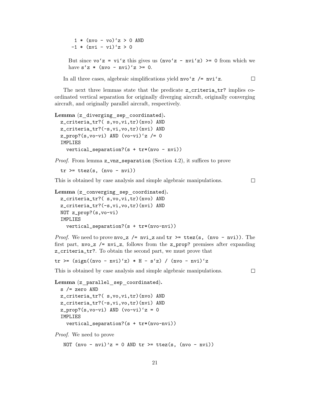$1 * (nvo - vo)'z > 0$  AND  $-1 * (nvi - vi)'z > 0$ 

But since  $\text{vo}'z = \text{vi}'z$  this gives us  $(\text{nvo}'z - \text{nvi}'z) \ge 0$  from which we have  $s'z * (nvo - nvi)'z \ge 0$ .

In all three cases, algebraic simplifications yield nvo'z  $/$ = nvi'z.

 $\Box$ 

The next three lemmas state that the predicate z\_criteria\_tr? implies coordinated vertical separation for originally diverging aircraft, originally converging aircraft, and originally parallel aircraft, respectively.

```
Lemma (z_diverging_sep_coordinated).
 z_criteria_tr?( s,vo,vi,tr)(nvo) AND
 z_criteria_tr?(-s,vi,vo,tr)(nvi) AND
 z\_prop?(s,vo-vi) AND (vo-vi)'z /= 0
 IMPLIES
    vertical_separation?(s + tr*(nvo - nvi))
```
*Proof.* From lemma  $z$ \_vnz\_separation (Section 4.2), it suffices to prove

 $tr$  >=  $ttez(s, (nvo - nvi))$ 

This is obtained by case analysis and simple algebraic manipulations.

```
\Box
```

```
Lemma (z_converging_sep_coordinated).
 z_criteria_tr?( s,vo,vi,tr)(nvo) AND
 z_criteria_tr?(-s,vi,vo,tr)(nvi) AND
 NOT z_prop?(s,vo-vi)
 IMPLIES
    vertical_separation?(s + tr*(nvo-nvi))
```
*Proof.* We need to prove  $\text{nvo}_z$  /=  $\text{nvi}_z$  and  $\text{tr}$  >=  $\text{ttez}(s, (\text{nvo} - \text{nvi}))$ . The first part, nvo<sub>-z</sub> /= nvi-z, follows from the z<sub>-prop</sub>? premises after expanding z\_criteria\_tr?. To obtain the second part, we must prove that

 $tr$  >= (sign((nvo - nvi)'z) \* H - s'z) / (nvo - nvi)'z

This is obtained by case analysis and simple algebraic manipulations.

 $\Box$ 

```
Lemma (z parallel sep coordinated).
 s /= zero AND
 z_criteria_tr?( s,vo,vi,tr)(nvo) AND
 z_criteria_tr?(-s,vi,vo,tr)(nvi) AND
 z\_prop?(s,vo-vi) AND (vo-vi)'z = 0IMPLIES
    vertical_separation?(s + tr*(nvo-nvi))
```
Proof. We need to prove

NOT  $(nvo - nvi)'z = 0$  AND  $tr$  >=  $ttez(s, (nvo - nvi))$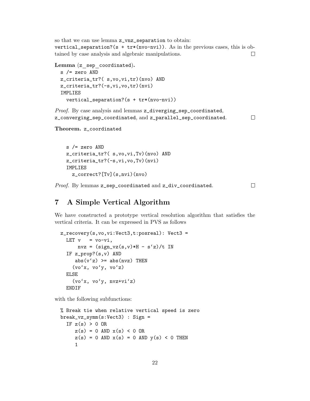so that we can use lemma z\_vnz\_separation to obtain: vertical\_separation?( $s + tr*(nvo-nvi)$ ). As in the previous cases, this is obtained by case analysis and algebraic manipulations.  $\Box$ 

```
Lemma (z_sep_coordinated).
 s /= zero AND
 z_criteria_tr?( s,vo,vi,tr)(nvo) AND
 z_criteria_tr?(-s,vi,vo,tr)(nvi)
 IMPLIES
    vertical_separation?(s + tr*(nvo-nvi))
```
Proof. By case analysis and lemmas z\_diverging\_sep\_coordinated, z\_converging\_sep\_coordinated, and z\_parallel\_sep\_coordinated.

## $\Box$

#### Theorem. z\_coordinated

```
s /= zero AND
z_criteria_tr?( s,vo,vi,Tv)(nvo) AND
z_criteria_tr?(-s,vi,vo,Tv)(nvi)
IMPLIES
  z_correct?[Tv](s,nvi)(nvo)
```
*Proof.* By lemmas z\_sep\_coordinated and z\_div\_coordinated.

 $\Box$ 

## 7 A Simple Vertical Algorithm

We have constructed a prototype vertical resolution algorithm that satisfies the vertical criteria. It can be expressed in PVS as follows

```
z_recovery(s,vo,vi:Vect3,t:posreal): Vect3 =
  LET v = v_0 - v_i,
      n vz = (sign_vz(s,v)*H - s'z)/t IN
  IF z_prop?(s,v) AND
     abs(v'z) >= abs(nvz) THEN
    (vo'x, vo'y, vo'z)
  ELSE
    (vo'x, vo'y, nvz+vi'z)
  ENDIF
```
with the following subfunctions:

```
% Break tie when relative vertical speed is zero
break_vz_symm(s:Vect3) : Sign =
  IF z(s) > 0 OR
     z(s) = 0 AND x(s) < 0 OR
     z(s) = 0 AND x(s) = 0 AND y(s) < 0 THEN
     1
```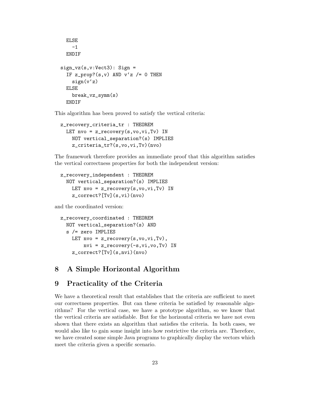```
ELSE
    -1
  ENDIF
sign_vz(s,v:Vect3): Sign =
  IF z\_prop?(s,v) AND v'z /= 0 THEN
    sign(v'z)ELSE
    break_vz_symm(s)
  ENDIF
```
This algorithm has been proved to satisfy the vertical criteria:

```
z_recovery_criteria_tr : THEOREM
  LET nvo = z<sub>recovery</sub>(s, vo, vi, Tv) IN
    NOT vertical_separation?(s) IMPLIES
    z_criteria_tr?(s,vo,vi,Tv)(nvo)
```
The framework therefore provides an immediate proof that this algorithm satisfies the vertical correctness properties for both the independent version:

```
z_recovery_independent : THEOREM
  NOT vertical_separation?(s) IMPLIES
    LET nvo = z_recovery(s, vo, vi, Tv) IN
    z_correct?[Tv](s,vi)(nvo)
```
and the coordinated version:

```
z_recovery_coordinated : THEOREM
  NOT vertical_separation?(s) AND
  s /= zero IMPLIES
    LET nvo = z_recovery(s,vo,vi,Tv),
        nvi = z_recovery(-s, vi, vo, Tv) IN
    z_correct?[Tv](s,nvi)(nvo)
```
## 8 A Simple Horizontal Algorithm

## 9 Practicality of the Criteria

We have a theoretical result that establishes that the criteria are sufficient to meet our correctness properties. But can these criteria be satisfied by reasonable algorithms? For the vertical case, we have a prototype algorithm, so we know that the vertical criteria are satisfiable. But for the horizontal criteria we have not even shown that there exists an algorithm that satisfies the criteria. In both cases, we would also like to gain some insight into how restrictive the criteria are. Therefore, we have created some simple Java programs to graphically display the vectors which meet the criteria given a specific scenario.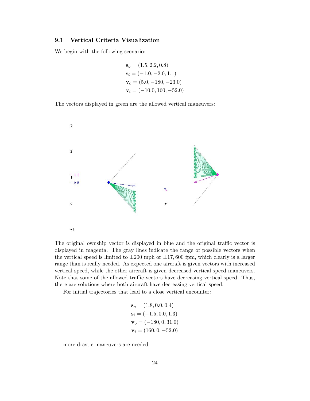### 9.1 Vertical Criteria Visualization

We begin with the following scenario:

$$
\mathbf{s}_o = (1.5, 2.2, 0.8)
$$
  
\n
$$
\mathbf{s}_i = (-1.0, -2.0, 1.1)
$$
  
\n
$$
\mathbf{v}_o = (5.0, -180, -23.0)
$$
  
\n
$$
\mathbf{v}_i = (-10.0, 160, -52.0)
$$

The vectors displayed in green are the allowed vertical maneuvers:



The original ownship vector is displayed in blue and the original traffic vector is displayed in magenta. The gray lines indicate the range of possible vectors when the vertical speed is limited to  $\pm 200$  mph or  $\pm 17,600$  fpm, which clearly is a larger range than is really needed. As expected one aircraft is given vectors with increased vertical speed, while the other aircraft is given decreased vertical speed maneuvers. Note that some of the allowed traffic vectors have decreasing vertical speed. Thus, there are solutions where both aircraft have decreasing vertical speed.

For initial trajectories that lead to a close vertical encounter:

$$
\mathbf{s}_o = (1.8, 0.0, 0.4)
$$

$$
\mathbf{s}_i = (-1.5, 0.0, 1.3)
$$

$$
\mathbf{v}_o = (-180, 0, 31.0)
$$

$$
\mathbf{v}_i = (160, 0, -52.0)
$$

more drastic maneuvers are needed: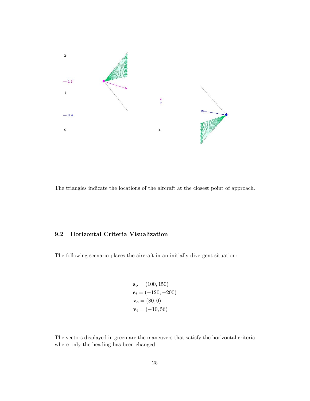

The triangles indicate the locations of the aircraft at the closest point of approach.

## 9.2 Horizontal Criteria Visualization

The following scenario places the aircraft in an initially divergent situation:

$$
\mathbf{s}_o = (100, 150)
$$
  
\n
$$
\mathbf{s}_i = (-120, -200)
$$
  
\n
$$
\mathbf{v}_o = (80, 0)
$$
  
\n
$$
\mathbf{v}_i = (-10, 56)
$$

The vectors displayed in green are the maneuvers that satisfy the horizontal criteria where only the heading has been changed.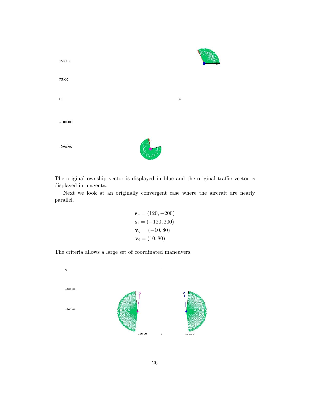

The original ownship vector is displayed in blue and the original traffic vector is displayed in magenta.

Next we look at an originally convergent case where the aircraft are nearly parallel.

$$
\mathbf{s}_o = (120, -200)
$$

$$
\mathbf{s}_i = (-120, 200)
$$

$$
\mathbf{v}_o = (-10, 80)
$$

$$
\mathbf{v}_i = (10, 80)
$$

The criteria allows a large set of coordinated maneuvers.

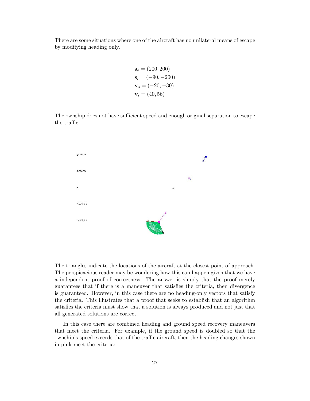There are some situations where one of the aircraft has no unilateral means of escape by modifying heading only.

$$
\mathbf{s}_o = (200, 200)
$$
  
\n
$$
\mathbf{s}_i = (-90, -200)
$$
  
\n
$$
\mathbf{v}_o = (-20, -30)
$$
  
\n
$$
\mathbf{v}_i = (40, 56)
$$

The ownship does not have sufficient speed and enough original separation to escape the traffic.



The triangles indicate the locations of the aircraft at the closest point of approach. The perspicacious reader may be wondering how this can happen given that we have a independent proof of correctness. The answer is simply that the proof merely guarantees that if there is a maneuver that satisfies the criteria, then divergence is guaranteed. However, in this case there are no heading-only vectors that satisfy the criteria. This illustrates that a proof that seeks to establish that an algorithm satisfies the criteria must show that a solution is always produced and not just that all generated solutions are correct.

In this case there are combined heading and ground speed recovery maneuvers that meet the criteria. For example, if the ground speed is doubled so that the ownship's speed exceeds that of the traffic aircraft, then the heading changes shown in pink meet the criteria: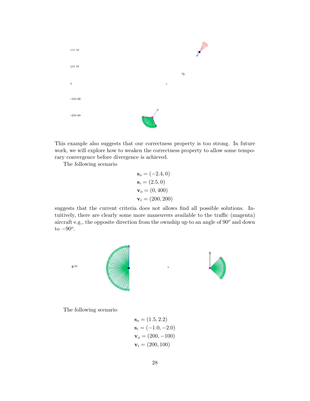| 200.00    |           |                 | P |
|-----------|-----------|-----------------|---|
| 100.00    |           |                 |   |
| $\circ$   | $\ddot{}$ | $\nabla \nabla$ |   |
| $-100.00$ |           |                 |   |
| $-200.00$ |           |                 |   |

This example also suggests that our correctness property is too strong. In future work, we will explore how to weaken the correctness property to allow some temporary convergence before divergence is achieved.

The following scenario

 $s_o = (-2.4, 0)$  $s_i = (2.5, 0)$  $v_o = (0, 400)$  $v_i = (200, 200)$ 

suggests that the current criteria does not allows find all possible solutions. Intuitively, there are clearly some more maneuvers available to the traffic (magenta) aircraft e.g., the opposite direction from the ownship up to an angle of  $90^{\circ}$  and down to  $-90^\circ$ .



The following scenario

$$
\mathbf{s}_o = (1.5, 2.2)
$$

$$
\mathbf{s}_i = (-1.0, -2.0)
$$

$$
\mathbf{v}_o = (200, -100)
$$

$$
\mathbf{v}_i = (200, 100)
$$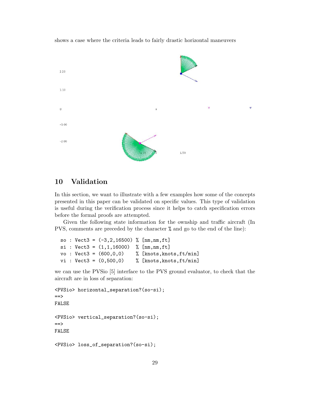

shows a case where the criteria leads to fairly drastic horizontal maneuvers

# 10 Validation

In this section, we want to illustrate with a few examples how some of the concepts presented in this paper can be validated on specific values. This type of validation is useful during the verification process since it helps to catch specification errors before the formal proofs are attempted.

Given the following state information for the ownship and traffic aircraft (In PVS, comments are preceded by the character % and go to the end of the line):

|  | so : $Vect3 = (-3, 2, 16500) % [nm, nm, ft]$ |                          |
|--|----------------------------------------------|--------------------------|
|  | $si : Vect3 = (1,1,16000) % [nm,nm,ft]$      |                          |
|  | $vo: Vect3 = (600.0.0)$                      | % [knots, knots, ft/min] |
|  | $vi: Vect3 = (0.500.0)$                      | % [knots, knots, ft/min] |

we can use the PVSio [5] interface to the PVS ground evaluator, to check that the aircraft are in loss of separation:

```
<PVSio> horizontal_separation?(so-si);
==>
FALSE
<PVSio> vertical_separation?(so-si);
==>
FALSE
```

```
<PVSio> loss_of_separation?(so-si);
```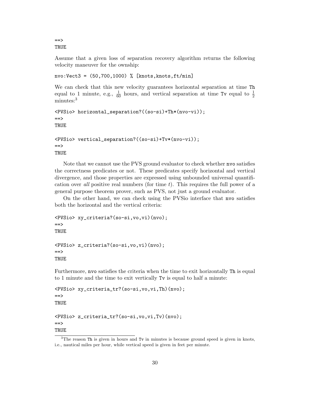#### ==> **TRUE**

Assume that a given loss of separation recovery algorithm returns the following velocity maneuver for the ownship:

nvo:Vect3 = (50,700,1000) % [knots,knots,ft/min]

We can check that this new velocity guarantees horizontal separation at time Th equal to 1 minute, e.g.,  $\frac{1}{60}$  hours, and vertical separation at time Tv equal to  $\frac{1}{2}$ minutes:<sup>3</sup>

```
<PVSio> horizontal_separation?((so-si)+Th*(nvo-vi));
==>
TRUE
```

```
<PVSio> vertical_separation?((so-si)+Tv*(nvo-vi));
=TRUE
```
Note that we cannot use the PVS ground evaluator to check whether nvo satisfies the correctness predicates or not. These predicates specify horizontal and vertical divergence, and those properties are expressed using unbounded universal quantification over all positive real numbers (for time  $t$ ). This requires the full power of a general purpose theorem prover, such as PVS, not just a ground evaluator.

On the other hand, we can check using the PVSio interface that nvo satisfies both the horizontal and the vertical criteria:

```
<PVSio> xy_criteria?(so-si,vo,vi)(nvo);
==>
TRUE
```

```
<PVSio> z_criteria?(so-si,vo,vi)(nvo);
==>
TRUE
```
Furthermore, nvo satisfies the criteria when the time to exit horizontally Th is equal to 1 minute and the time to exit vertically Tv is equal to half a minute:

```
<PVSio> xy_criteria_tr?(so-si,vo,vi,Th)(nvo);
==>
TRUE
<PVSio> z_criteria_tr?(so-si,vo,vi,Tv)(nvo);
==>
```
**TRUE** 

<sup>&</sup>lt;sup>3</sup>The reason Th is given in hours and Tv in minutes is because ground speed is given in knots, i.e., nautical miles per hour, while vertical speed is given in feet per minute.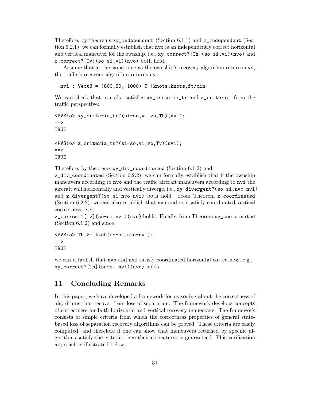Therefore, by theorems xy\_independent (Section 6.1.1) and z\_independent (Section 6.2.1), we can formally establish that nvo is an independently correct horizontal and vertical maneuver for the ownship, i.e., xy\_correct?[Th](so-si,vi)(nvo) and z\_correct?[Tv](so-si,vi)(nvo) both hold.

Assume that at the same time as the ownship's recovery algorithm returns nvo, the traffic's recovery algorithm returns nvi:

nvi : Vect3 = (800,50,-1000) % [knots,knots,ft/min]

We can check that nvi also satisfies  $xy$ -criteria<sub>tr</sub> and z<sub>criteria</sub>, from the traffic perspective:

```
<PVSio> xy_criteria_tr?(si-so,vi,vo,Th)(nvi);
==>
TRUE
<PVSio> z_criteria_tr?(si-so,vi,vo,Tv)(nvi);
==>
TRUE
```
Therefore, by theorems xy\_div\_coordinated (Section 6.1.2) and

z\_div\_coordinated (Section 6.2.2), we can formally establish that if the ownship maneuvers according to nvo and the traffic aircraft maneuvers according to nvi the aircraft will horizontally and vertically diverge, i.e., xy\_divergent?(so-si,nvo-nvi) and z\_divergent?(so-si,nvo-nvi) both hold. From Theorem z\_coordinated (Section 6.2.2), we can also establish that nvo and nvi satisfy coordinated vertical correctness, e.g.,

z\_correct?[Tv](so-si,nvi)(nvo) holds. Finally, from Theorem xy\_coordinated (Section 6.1.2) and since

```
<PVSio> Th >= tteh(so-si,nvo-nvi);
==>
TRUE
```
we can establish that nvo and nvi satisfy coordinated horizontal correctness, e.g., xy\_correct?[Th](so-si,nvi)(nvo) holds.

## 11 Concluding Remarks

In this paper, we have developed a framework for reasoning about the correctness of algorithms that recover from loss of separation. The framework develops concepts of correctness for both horizontal and vertical recovery maneuvers. The framework consists of simple criteria from which the correctness properties of general statebased loss of separation recovery algorithms can be proved. These criteria are easily computed, and therefore if one can show that maneuvers returned by specific algorithms satisfy the criteria, then their correctness is guaranteed. This verification approach is illustrated below: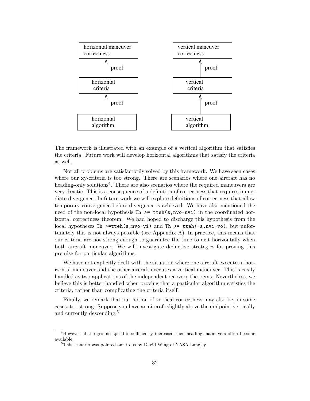

The framework is illustrated with an example of a vertical algorithm that satisfies the criteria. Future work will develop horizontal algorithms that satisfy the criteria as well.

Not all problems are satisfactorily solved by this framework. We have seen cases where our xy-criteria is too strong. There are scenarios where one aircraft has no heading-only solutions<sup>4</sup>. There are also scenarios where the required maneuvers are very drastic. This is a consequence of a definition of correctness that requires immediate divergence. In future work we will explore definitions of correctness that allow temporary convergence before divergence is achieved. We have also mentioned the need of the non-local hypothesis  $Th \geq$  tteh(s,nvo-nvi) in the coordinated horizontal correctness theorem. We had hoped to discharge this hypothesis from the local hypotheses Th  $\ge$ =tteh(s,nvo-vi) and Th  $\ge$ =tteh(-s,nvi-vo), but unfortunately this is not always possible (see Appendix A). In practice, this means that our criteria are not strong enough to guarantee the time to exit horizontally when both aircraft maneuver. We will investigate deductive strategies for proving this premise for particular algorithms.

We have not explicitly dealt with the situation where one aircraft executes a horizontal maneuver and the other aircraft executes a vertical maneuver. This is easily handled as two applications of the independent recovery theorems. Nevertheless, we believe this is better handled when proving that a particular algorithm satisfies the criteria, rather than complicating the criteria itself.

Finally, we remark that our notion of vertical correctness may also be, in some cases, too strong. Suppose you have an aircraft slightly above the midpoint vertically and currently descending:<sup>5</sup>

<sup>4</sup>However, if the ground speed is sufficiently increased then heading maneuvers often become available.

<sup>5</sup>This scenario was pointed out to us by David Wing of NASA Langley.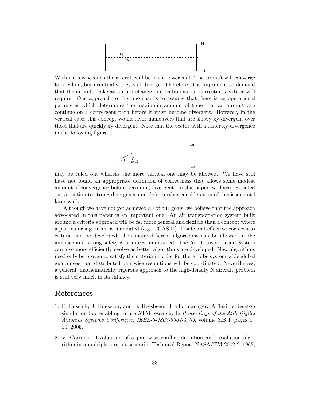

Within a few seconds the aircraft will be in the lower half. The aircraft will converge for a while, but eventually they will diverge. Therefore, it is imprudent to demand that the aircraft make an abrupt change in direction as our correctness criteria will require. One approach to this anomaly is to assume that there is an operational parameter which determines the maximum amount of time that an aircraft can continue on a convergent path before it must become divergent. However, in the vertical case, this concept would favor maneuvers that are slowly xy-divergent over those that are quickly xy-divergent. Note that the vector with a faster xy-divergence in the following figure



may be ruled out whereas the more vertical one may be allowed. We have still have not found an appropriate definition of correctness that allows some modest amount of convergence before becoming divergent. In this paper, we have restricted our attention to strong divergence and defer further consideration of this issue until later work.

Although we have not yet achieved all of our goals, we believe that the approach advocated in this paper is an important one. An air transportation system built around a criteria approach will be far more general and flexible than a concept where a particular algorithm is mandated (e.g. TCAS II). If safe and effective correctness criteria can be developed, then many different algorithms can be allowed in the airspace and strong safety guarantees maintained. The Air Transportation System can also more efficiently evolve as better algorithms are developed. New algorithms need only be proven to satisfy the criteria in order for there to be system-wide global guarantees that distributed pair-wise resolutions will be coordinated. Nevertheless, a general, mathematically rigorous approach to the high-density N aircraft problem is still very much in its infancy.

## References

- 1. F. Bussink, J. Hoekstra, and B. Heesbeen. Traffic manager: A flexible desktop simulation tool enabling future ATM research. In *Proceedings of the 24th Digital* Avionics Systems Conference, IEEE-0-7803-9307-4/05, volume 3.B.4, pages 1– 10, 2005.
- 2. V. Carreño. Evaluation of a pair-wise conflict detection and resolution algorithm in a multiple aircraft scenario. Technical Report NASA/TM-2002-211963,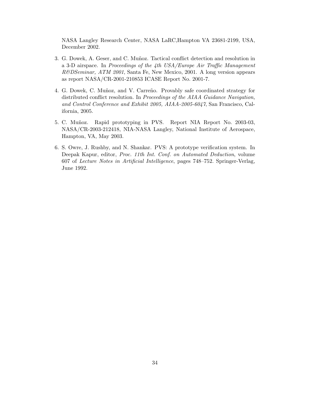NASA Langley Research Center, NASA LaRC,Hampton VA 23681-2199, USA, December 2002.

- 3. G. Dowek, A. Geser, and C. Muñoz. Tactical conflict detection and resolution in a 3-D airspace. In Proceedings of the 4th USA/Europe Air Traffic Management R&DSeminar, ATM 2001, Santa Fe, New Mexico, 2001. A long version appears as report NASA/CR-2001-210853 ICASE Report No. 2001-7.
- 4. G. Dowek, C. Muñoz, and V. Carreño. Provably safe coordinated strategy for distributed conflict resolution. In *Proceedings of the AIAA Guidance Navigation*, and Control Conference and Exhibit 2005, AIAA-2005-6047, San Francisco, California, 2005.
- 5. C. Muñoz. Rapid prototyping in PVS. Report NIA Report No. 2003-03, NASA/CR-2003-212418, NIA-NASA Langley, National Institute of Aerospace, Hampton, VA, May 2003.
- 6. S. Owre, J. Rushby, and N. Shankar. PVS: A prototype verification system. In Deepak Kapur, editor, Proc. 11th Int. Conf. on Automated Deduction, volume 607 of Lecture Notes in Artificial Intelligence, pages 748–752. Springer-Verlag, June 1992.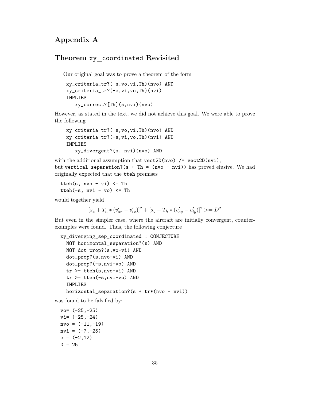# Appendix A

## Theorem xy coordinated Revisited

Our original goal was to prove a theorem of the form

```
xy_criteria_tr?( s,vo,vi,Th)(nvo) AND
xy_criteria_tr?(-s,vi,vo,Th)(nvi)
IMPLIES
   xy_correct?[Th](s,nvi)(nvo)
```
However, as stated in the text, we did not achieve this goal. We were able to prove the following

xy\_criteria\_tr?( s,vo,vi,Th)(nvo) AND xy\_criteria\_tr?(-s,vi,vo,Th)(nvi) AND IMPLIES xy\_divergent?(s, nvi)(nvo) AND

with the additional assumption that  $\text{vect2D(nvo)}$  /=  $\text{vect2D(nvi)}$ , but vertical\_separation?( $s + Th * (nvo - nvi)$ ) has proved elusive. We had originally expected that the tteh premises

tteh(s, nvo - vi)  $\le$  Th tteh( $-s$ , nvi - vo)  $\le$  Th

would together yield

$$
[s_x + T_h * (v'_{ox} - v'_{ix})]^2 + [s_y + T_h * (v'_{oy} - v'_{iy})]^2 \ge D^2
$$

But even in the simpler case, where the aircraft are initially convergent, counterexamples were found. Thus, the following conjecture

```
xy_diverging_sep_coordinated : CONJECTURE
  NOT horizontal_separation?(s) AND
  NOT dot_prop?(s,vo-vi) AND
  dot_prop?(s,nvo-vi) AND
  dot_prop?(-s,nvi-vo) AND
  tr >= tteh(s,nvo-vi) AND
  tr >= tteh(-s,nvi-vo) AND
  IMPLIES
  horizontal_separation?(s + tr*(nvo - nvi))
```
was found to be falsified by:

 $vo = (-25, -25)$  $vi= (-25, -24)$  $nvo = (-11, -19)$  $nvi = (-7, -25)$  $s = (-2, 12)$  $D = 25$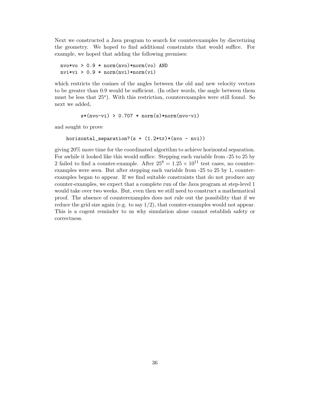Next we constructed a Java program to search for counterexamples by discretizing the geometry. We hoped to find additional constraints that would suffice. For example, we hoped that adding the following premises:

```
nvo*vo > 0.9 * norm(nvo)*norm(vo) AND
nvi*vi > 0.9 * norm(nvi)*norm(vi)
```
which restricts the cosines of the angles between the old and new velocity vectors to be greater than 0.9 would be sufficient. (In other words, the angle between them must be less that  $25^{\circ}$ ). With this restriction, counterexamples were still found. So next we added,

```
s*(nvo-vi) > 0.707 * norm(s)*norm(nvo-vi)
```
and sought to prove

```
horizontal_separation?(s + (1.2*tr)*(nvo - nvi))
```
giving 20% more time for the coordinated algorithm to achieve horizontal separation. For awhile it looked like this would suffice. Stepping each variable from -25 to 25 by 2 failed to find a counter-example. After  $25^8 = 1.25 \times 10^{11}$  test cases, no counterexamples were seen. But after stepping each variable from -25 to 25 by 1, counterexamples began to appear. If we find suitable constraints that do not produce any counter-examples, we expect that a complete run of the Java program at step-level 1 would take over two weeks. But, even then we still need to construct a mathematical proof. The absence of counterexamples does not rule out the possibility that if we reduce the grid size again (e.g. to say  $1/2$ ), that counter-examples would not appear. This is a cogent reminder to us why simulation alone cannot establish safety or correctness.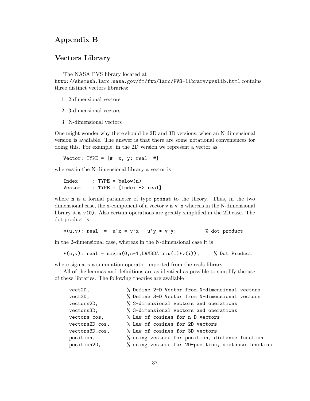# Appendix B

## Vectors Library

The NASA PVS library located at

http://shemesh.larc.nasa.gov/fm/ftp/larc/PVS-library/pvslib.html contains three distinct vectors libraries:

- 1. 2-dimensional vectors
- 2. 3-dimensional vectors
- 3. N-dimensional vectors

One might wonder why there should be 2D and 3D versions, when an N-dimensional version is available. The answer is that there are some notational conveniences for doing this. For example, in the 2D version we represent a vector as

Vector: TYPE =  $[$ # x, y: real #]

whereas in the N-dimensional library a vector is

 $Index$  : TYPE =  $below(n)$  $Vector$  : TYPE = [Index -> real]

where n is a formal parameter of type posnat to the theory. Thus, in the two dimensional case, the x-component of a vector  $v$  is  $v'x$  whereas in the N-dimensional library it is  $v(0)$ . Also certain operations are greatly simplified in the 2D case. The dot product is

 $*(u,v): \text{ real } = u'x * v'x + u'y * v'y;$  % dot product

in the 2-dimensional case, whereas in the N-dimensional case it is

```
*(u,v): \text{real} = \text{sigma}(0,n-1,\text{LAMBDA} \text{ i}:u(i)*v(i)); % Dot Product
```
where sigma is a summation operator imported from the reals library.

All of the lemmas and definitions are as identical as possible to simplify the use of these libraries. The following theories are available

| vect2D,        | % Define 2-D Vector from N-dimensional vectors     |
|----------------|----------------------------------------------------|
| vect3D,        | % Define 3-D Vector from N-dimensional vectors     |
| vectors2D,     | % 2-dimensional vectors and operations             |
| vectors3D,     | % 3-dimensional vectors and operations             |
| vectors_cos,   | % Law of cosines for n-D vectors                   |
| vectors2D_cos, | % Law of cosines for 2D vectors                    |
| vectors3D_cos, | % Law of cosines for 3D vectors                    |
| position,      | % using vectors for position, distance function    |
| position2D,    | % using vectors for 2D-position, distance function |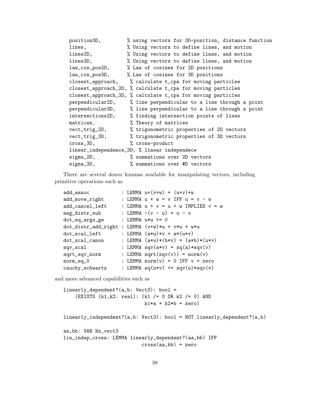```
position3D, % using vectors for 3D-position, distance function
lines, % Using vectors to define lines, and motion
lines2D, % Using vectors to define lines, and motion
lines3D, % Using vectors to define lines, and motion
law_cos_pos2D, % Law of cosines for 2D positions
law_cos_pos3D, % Law of cosines for 3D positions
closest_approach, % calculate t_cpa for moving particles
closest_approach_2D, % calculate t_cpa for moving particles
closest_approach_3D, % calculate t_cpa for moving particles
perpendicular2D, % line perpendicular to a line through a point
perpendicular3D, % line perpendicular to a line through a point
intersections2D, % finding intersection points of lines
matrices, \frac{1}{2} Theory of matrices
vect_trig_2D, % trigonometric properties of 2D vectors
vect_trig_3D, % trigonometric properties of 3D vectors
cross_3D, % cross-product
linear_independence_3D, % linear independece
sigma_2D, % summations over 2D vectors
sigma_3D, % summations over #D vectors
```
There are several dozen lemmas available for manipulating vectors, including primitive operations such as

```
add_assoc : LEMMA u+(v+w) = (u+v)+wadd\_move\_right : LEMMA u + w = v IFF u = v - wadd\_cancel\_left : LEMMA u + v = u + w IMPLIES v = wneg\_distr\_sub : LEMMA -(v - u) = u - vdot_eq_args_ge : LEMMA u*u >= 0
dot\_distr\_add\_right : LEMMA (v+w)*u = v*u + w*udot\_scal\_left : LEMMA (a*u)*v = a*(u*v)dot\_scal\_canon : LEMMA (a*u)*(b*v) = (a*b)*(u*v)sqv\_scal : LEMMA sqv(a*v) = sq(a)*sqv(v)sqrt(x) = norm : LEMMA sqrt(sqv(v)) = norm(v)
norm\_eq\_0 : LEMMA norm(v) = 0 IFF v = zerocauchy_schwartz : LEMMA sq(u*v) <= sgv(u)*sgv(v)
```
and more advanced capabilities such as

```
linearly_dependent?(a,b: Vect3): bool =
    (EXISTS (k1,k2: real): (k1 /= 0 OR k2 /= 0) AND
                            k1*a + k2*b = zero)
```

```
linearly_independent?(a,b: Vect3): bool = NOT linearly_dependent?(a,b)
aa,bb: VAR Nz_vect3
lin_indep_cross: LEMMA linearly_dependent?(aa,bb) IFF
                           cross(aa,bb) = zero
```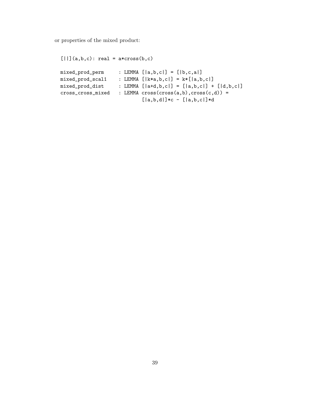or properties of the mixed product:

```
[||](a,b,c): real = a*cross(b,c)
mixed_prod_perm : LEMMA [|a,b,c|] = [|b,c,a|]
mixed\_prod\_scal1 : LEMMA [|k*a,b,c|] = k*[|a,b,c|]mixed\_prod\_dist : LEMMA [|a+d,b,c|] = [|a,b,c|] + [|d,b,c|]cross_cross_mixed : LEMMA cross(cross(a,b),cross(c,d)) =
                           [|a,b,d|]*c - [|a,b,c|]*d
```